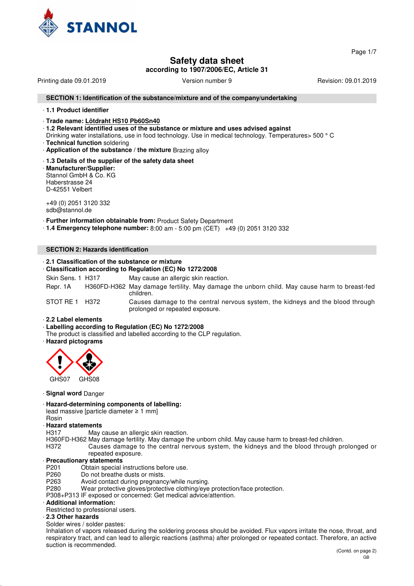

Page 1/7

# **Safety data sheet**

**according to 1907/2006/EC, Article 31**

Printing date 09.01.2019 **Version number 9** Revision: 09.01.2019 **Revision: 09.01.2019** 

#### **SECTION 1: Identification of the substance/mixture and of the company/undertaking**

#### · **1.1 Product identifier**

#### · **Trade name: Lötdraht HS10 Pb60Sn40**

· **1.2 Relevant identified uses of the substance or mixture and uses advised against**

- Drinking water installations, use in food technology. Use in medical technology. Temperatures> 500 ° C · **Technical function** soldering
- · **Application of the substance / the mixture** Brazing alloy

## · **1.3 Details of the supplier of the safety data sheet**

· **Manufacturer/Supplier:** Stannol GmbH & Co. KG Haberstrasse 24 D-42551 Velbert

+49 (0) 2051 3120 332 sdb@stannol.de

· **Further information obtainable from:** Product Safety Department

· **1.4 Emergency telephone number:** 8:00 am - 5:00 pm (CET) +49 (0) 2051 3120 332

#### **SECTION 2: Hazards identification**

## · **2.1 Classification of the substance or mixture**

· **Classification according to Regulation (EC) No 1272/2008**

Skin Sens. 1 H317 May cause an allergic skin reaction.

Repr. 1A H360FD-H362 May damage fertility. May damage the unborn child. May cause harm to breast-fed children.

STOT RE 1 H372 Causes damage to the central nervous system, the kidneys and the blood through prolonged or repeated exposure.

### · **2.2 Label elements**

#### · **Labelling according to Regulation (EC) No 1272/2008**

The product is classified and labelled according to the CLP regulation.

· **Hazard pictograms**



#### · **Signal word** Danger

#### · **Hazard-determining components of labelling:**

lead massive [particle diameter ≥ 1 mm]

Rosin

#### · **Hazard statements**

H317 May cause an allergic skin reaction.

H360FD-H362 May damage fertility. May damage the unborn child. May cause harm to breast-fed children.

H372 Causes damage to the central nervous system, the kidneys and the blood through prolonged or repeated exposure.

#### · **Precautionary statements**

P201 Obtain special instructions before use.<br>P260 Do not breathe dusts or mists.

- Do not breathe dusts or mists.
- P263 Avoid contact during pregnancy/while nursing.
- P280 Wear protective gloves/protective clothing/eye protection/face protection.
- P308+P313 IF exposed or concerned: Get medical advice/attention.

## · **Additional information:**

Restricted to professional users.

#### · **2.3 Other hazards**

Solder wires / solder pastes:

Inhalation of vapors released during the soldering process should be avoided. Flux vapors irritate the nose, throat, and respiratory tract, and can lead to allergic reactions (asthma) after prolonged or repeated contact. Therefore, an active suction is recommended.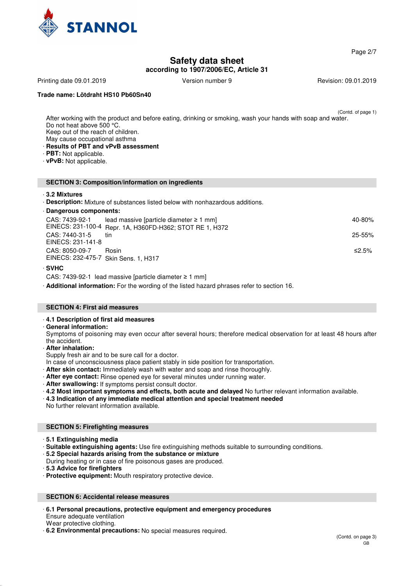

Page 2/7

# **Safety data sheet**

**according to 1907/2006/EC, Article 31**

Printing date 09.01.2019 **Version number 9** Revision: 09.01.2019 **Revision: 09.01.2019** 

## **Trade name: Lötdraht HS10 Pb60Sn40**

(Contd. of page 1)

- After working with the product and before eating, drinking or smoking, wash your hands with soap and water. Do not heat above 500 °C. Keep out of the reach of children. May cause occupational asthma · **Results of PBT and vPvB assessment** · **PBT:** Not applicable.
- · **vPvB:** Not applicable.

#### **SECTION 3: Composition/information on ingredients**

#### · **3.2 Mixtures**

· **Description:** Mixture of substances listed below with nonhazardous additions.

| · Dangerous components:              |                                                          |            |  |
|--------------------------------------|----------------------------------------------------------|------------|--|
| CAS: 7439-92-1                       | lead massive [particle diameter $\geq 1$ mm]             | 40-80%     |  |
|                                      | EINECS: 231-100-4 Repr. 1A, H360FD-H362; STOT RE 1, H372 |            |  |
| CAS: 7440-31-5                       | tin                                                      | $25 - 55%$ |  |
| EINECS: 231-141-8                    |                                                          |            |  |
| CAS: 8050-09-7                       | Rosin                                                    | ≤2.5%      |  |
| EINECS: 232-475-7 Skin Sens. 1, H317 |                                                          |            |  |

#### · **SVHC**

CAS: 7439-92-1 lead massive [particle diameter ≥ 1 mm]

· **Additional information:** For the wording of the listed hazard phrases refer to section 16.

#### **SECTION 4: First aid measures**

#### · **4.1 Description of first aid measures**

· **General information:**

Symptoms of poisoning may even occur after several hours; therefore medical observation for at least 48 hours after the accident.

- · **After inhalation:**
- Supply fresh air and to be sure call for a doctor.
- In case of unconsciousness place patient stably in side position for transportation.
- · **After skin contact:** Immediately wash with water and soap and rinse thoroughly.
- · **After eye contact:** Rinse opened eye for several minutes under running water.
- · **After swallowing:** If symptoms persist consult doctor.
- · **4.2 Most important symptoms and effects, both acute and delayed** No further relevant information available.
- · **4.3 Indication of any immediate medical attention and special treatment needed**

No further relevant information available.

#### **SECTION 5: Firefighting measures**

- · **5.1 Extinguishing media**
- · **Suitable extinguishing agents:** Use fire extinguishing methods suitable to surrounding conditions.

· **5.2 Special hazards arising from the substance or mixture**

During heating or in case of fire poisonous gases are produced.

· **5.3 Advice for firefighters**

· **Protective equipment:** Mouth respiratory protective device.

# **SECTION 6: Accidental release measures**

#### · **6.1 Personal precautions, protective equipment and emergency procedures** Ensure adequate ventilation

Wear protective clothing.

· **6.2 Environmental precautions:** No special measures required.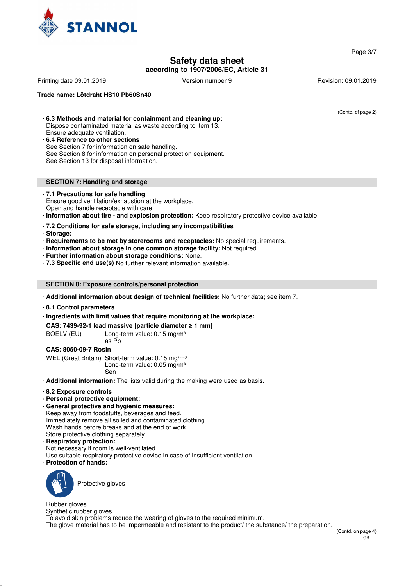

**Safety data sheet**

**according to 1907/2006/EC, Article 31**

Printing date 09.01.2019 **Version number 9** Revision: 09.01.2019 **Revision: 09.01.2019** 

**Trade name: Lötdraht HS10 Pb60Sn40**

(Contd. of page 2)

### · **6.3 Methods and material for containment and cleaning up:**

Dispose contaminated material as waste according to item 13.

- Ensure adequate ventilation.
- · **6.4 Reference to other sections**

See Section 7 for information on safe handling.

See Section 8 for information on personal protection equipment.

See Section 13 for disposal information.

### **SECTION 7: Handling and storage**

### · **7.1 Precautions for safe handling**

Ensure good ventilation/exhaustion at the workplace.

Open and handle receptacle with care.

· **Information about fire - and explosion protection:** Keep respiratory protective device available.

- · **7.2 Conditions for safe storage, including any incompatibilities**
- · **Storage:**
- · **Requirements to be met by storerooms and receptacles:** No special requirements.
- · **Information about storage in one common storage facility:** Not required.
- · **Further information about storage conditions:** None.

· **7.3 Specific end use(s)** No further relevant information available.

### **SECTION 8: Exposure controls/personal protection**

· **Additional information about design of technical facilities:** No further data; see item 7.

· **8.1 Control parameters**

· **Ingredients with limit values that require monitoring at the workplace:**

**CAS: 7439-92-1 lead massive [particle diameter** ≥ **1 mm]**

BOELV (EU) Long-term value: 0.15 mg/m<sup>3</sup> as Pb

## **CAS: 8050-09-7 Rosin**

WEL (Great Britain) Short-term value: 0.15 mg/m<sup>3</sup> Long-term value: 0.05 mg/m<sup>3</sup> Sen

· **Additional information:** The lists valid during the making were used as basis.

- · **8.2 Exposure controls**
- · **Personal protective equipment:**
- · **General protective and hygienic measures:**

Keep away from foodstuffs, beverages and feed. Immediately remove all soiled and contaminated clothing Wash hands before breaks and at the end of work. Store protective clothing separately.

#### · **Respiratory protection:**

- Not necessary if room is well-ventilated.
- Use suitable respiratory protective device in case of insufficient ventilation.

· **Protection of hands:**



Protective gloves

Rubber gloves

Synthetic rubber gloves

To avoid skin problems reduce the wearing of gloves to the required minimum.

The glove material has to be impermeable and resistant to the product/ the substance/ the preparation.

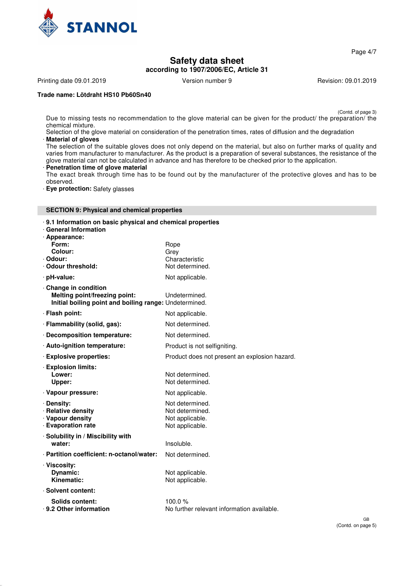

Page 4/7

# **Safety data sheet according to 1907/2006/EC, Article 31**

Printing date 09.01.2019 **Version number 9** Revision: 09.01.2019 **Revision: 09.01.2019** 

## **Trade name: Lötdraht HS10 Pb60Sn40**

(Contd. of page 3)

Due to missing tests no recommendation to the glove material can be given for the product/ the preparation/ the chemical mixture.

Selection of the glove material on consideration of the penetration times, rates of diffusion and the degradation · **Material of gloves**

The selection of the suitable gloves does not only depend on the material, but also on further marks of quality and varies from manufacturer to manufacturer. As the product is a preparation of several substances, the resistance of the glove material can not be calculated in advance and has therefore to be checked prior to the application.

#### · **Penetration time of glove material**

The exact break through time has to be found out by the manufacturer of the protective gloves and has to be observed.

· **Eye protection:** Safety glasses

## **SECTION 9: Physical and chemical properties**

#### · **9.1 Information on basic physical and chemical properties**

| <b>General Information</b><br>· Appearance:                                                                    |                                                                          |
|----------------------------------------------------------------------------------------------------------------|--------------------------------------------------------------------------|
| Form:                                                                                                          | Rope                                                                     |
| Colour:<br>Odour:                                                                                              | Grey<br>Characteristic                                                   |
| Odour threshold:                                                                                               | Not determined.                                                          |
| · pH-value:                                                                                                    | Not applicable.                                                          |
| Change in condition<br>Melting point/freezing point:<br>Initial boiling point and boiling range: Undetermined. | Undetermined.                                                            |
| · Flash point:                                                                                                 | Not applicable.                                                          |
| · Flammability (solid, gas):                                                                                   | Not determined.                                                          |
| Decomposition temperature:                                                                                     | Not determined.                                                          |
| · Auto-ignition temperature:                                                                                   | Product is not selfigniting.                                             |
| <b>Explosive properties:</b>                                                                                   | Product does not present an explosion hazard.                            |
| <b>Explosion limits:</b><br>Lower:<br>Upper:                                                                   | Not determined.<br>Not determined.                                       |
| · Vapour pressure:                                                                                             | Not applicable.                                                          |
| · Density:<br>· Relative density<br>· Vapour density<br><b>Evaporation rate</b>                                | Not determined.<br>Not determined.<br>Not applicable.<br>Not applicable. |
| · Solubility in / Miscibility with<br>water:                                                                   | Insoluble.                                                               |
| · Partition coefficient: n-octanol/water:                                                                      | Not determined.                                                          |
| · Viscosity:<br>Dynamic:<br>Kinematic:                                                                         | Not applicable.<br>Not applicable.                                       |
| · Solvent content:                                                                                             |                                                                          |
| Solids content:<br>⋅ 9.2 Other information                                                                     | 100.0 $%$<br>No further relevant information available.                  |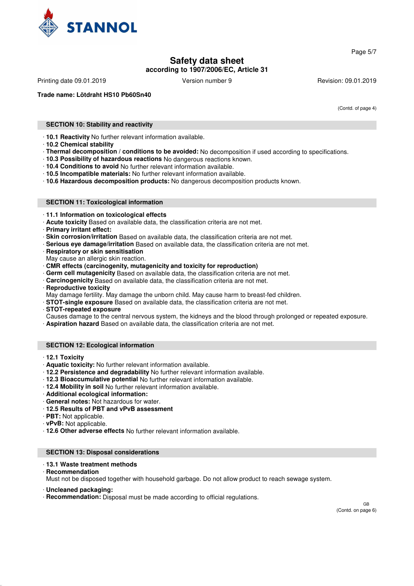

Page 5/7

# **Safety data sheet according to 1907/2006/EC, Article 31**

Printing date 09.01.2019 **Version number 9** Revision: 09.01.2019 **Revision: 09.01.2019** 

**Trade name: Lötdraht HS10 Pb60Sn40**

(Contd. of page 4)

### **SECTION 10: Stability and reactivity**

· **10.1 Reactivity** No further relevant information available.

- · **10.2 Chemical stability**
- · **Thermal decomposition / conditions to be avoided:** No decomposition if used according to specifications.
- · **10.3 Possibility of hazardous reactions** No dangerous reactions known.
- · **10.4 Conditions to avoid** No further relevant information available.
- · **10.5 Incompatible materials:** No further relevant information available.
- · **10.6 Hazardous decomposition products:** No dangerous decomposition products known.

#### **SECTION 11: Toxicological information**

- · **11.1 Information on toxicological effects**
- · **Acute toxicity** Based on available data, the classification criteria are not met.
- · **Primary irritant effect:**
- · **Skin corrosion/irritation** Based on available data, the classification criteria are not met.
- · **Serious eye damage/irritation** Based on available data, the classification criteria are not met.
- · **Respiratory or skin sensitisation**
- May cause an allergic skin reaction.
- · **CMR effects (carcinogenity, mutagenicity and toxicity for reproduction)**
- Germ cell mutagenicity Based on available data, the classification criteria are not met.
- · **Carcinogenicity** Based on available data, the classification criteria are not met.
- **Reproductive toxicity**
- May damage fertility. May damage the unborn child. May cause harm to breast-fed children.
- · **STOT-single exposure** Based on available data, the classification criteria are not met.
- · **STOT-repeated exposure**
- Causes damage to the central nervous system, the kidneys and the blood through prolonged or repeated exposure. · **Aspiration hazard** Based on available data, the classification criteria are not met.

# **SECTION 12: Ecological information**

- · **12.1 Toxicity**
- · **Aquatic toxicity:** No further relevant information available.
- · **12.2 Persistence and degradability** No further relevant information available.
- · **12.3 Bioaccumulative potential** No further relevant information available.
- · **12.4 Mobility in soil** No further relevant information available.
- · **Additional ecological information:**
- · **General notes:** Not hazardous for water.
- · **12.5 Results of PBT and vPvB assessment**
- · **PBT:** Not applicable.
- · **vPvB:** Not applicable.
- · **12.6 Other adverse effects** No further relevant information available.

#### **SECTION 13: Disposal considerations**

#### · **13.1 Waste treatment methods**

· **Recommendation**

Must not be disposed together with household garbage. Do not allow product to reach sewage system.

· **Uncleaned packaging:**

· **Recommendation:** Disposal must be made according to official regulations.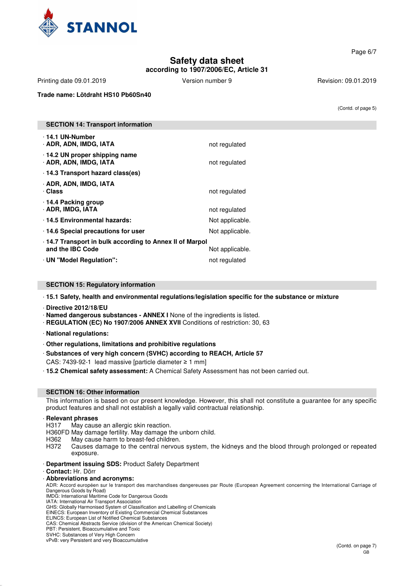

**Safety data sheet according to 1907/2006/EC, Article 31** Page 6/7

Printing date 09.01.2019 **Version number 9** Revision: 09.01.2019 **Revision: 09.01.2019** 

**Trade name: Lötdraht HS10 Pb60Sn40**

(Contd. of page 5)

| <b>SECTION 14: Transport information</b>                                   |                 |
|----------------------------------------------------------------------------|-----------------|
| ⋅14.1 UN-Number<br>· ADR, ADN, IMDG, IATA                                  | not regulated   |
| 14.2 UN proper shipping name<br>· ADR, ADN, IMDG, IATA                     | not regulated   |
| ⋅ 14.3 Transport hazard class(es)                                          |                 |
| · ADR, ADN, IMDG, IATA<br>· Class                                          | not regulated   |
| 14.4 Packing group<br>· ADR, IMDG, IATA                                    | not regulated   |
| 14.5 Environmental hazards:                                                | Not applicable. |
| 14.6 Special precautions for user                                          | Not applicable. |
| 14.7 Transport in bulk according to Annex II of Marpol<br>and the IBC Code | Not applicable. |
| · UN "Model Regulation":                                                   | not regulated   |

# **SECTION 15: Regulatory information**

· **15.1 Safety, health and environmental regulations/legislation specific for the substance or mixture**

· **Directive 2012/18/EU**

· **Named dangerous substances - ANNEX I** None of the ingredients is listed.

· **REGULATION (EC) No 1907/2006 ANNEX XVII** Conditions of restriction: 30, 63

· **National regulations:**

· **Other regulations, limitations and prohibitive regulations**

· **Substances of very high concern (SVHC) according to REACH, Article 57**

CAS: 7439-92-1 lead massive [particle diameter ≥ 1 mm]

· **15.2 Chemical safety assessment:** A Chemical Safety Assessment has not been carried out.

#### **SECTION 16: Other information**

This information is based on our present knowledge. However, this shall not constitute a guarantee for any specific product features and shall not establish a legally valid contractual relationship.

#### · **Relevant phrases**

H317 May cause an allergic skin reaction.

- H360FD May damage fertility. May damage the unborn child.<br>H362 May cause harm to breast-fed children.
- H362 May cause harm to breast-fed children.<br>H372 Causes damage to the central nervou
- Causes damage to the central nervous system, the kidneys and the blood through prolonged or repeated exposure.
- · **Department issuing SDS:** Product Safety Department

#### · **Contact:** Hr. Dörr

## · **Abbreviations and acronyms:**

ADR: Accord européen sur le transport des marchandises dangereuses par Route (European Agreement concerning the International Carriage of Dangerous Goods by Road)

IMDG: International Maritime Code for Dangerous Goods

IATA: International Air Transport Association GHS: Globally Harmonised System of Classification and Labelling of Chemicals

EINECS: European Inventory of Existing Commercial Chemical Substances ELINCS: European List of Notified Chemical Substances

CAS: Chemical Abstracts Service (division of the American Chemical Society)

PBT: Persistent, Bioaccumulative and Toxic

SVHC: Substances of Very High Concern

vPvB: very Persistent and very Bioaccumulative